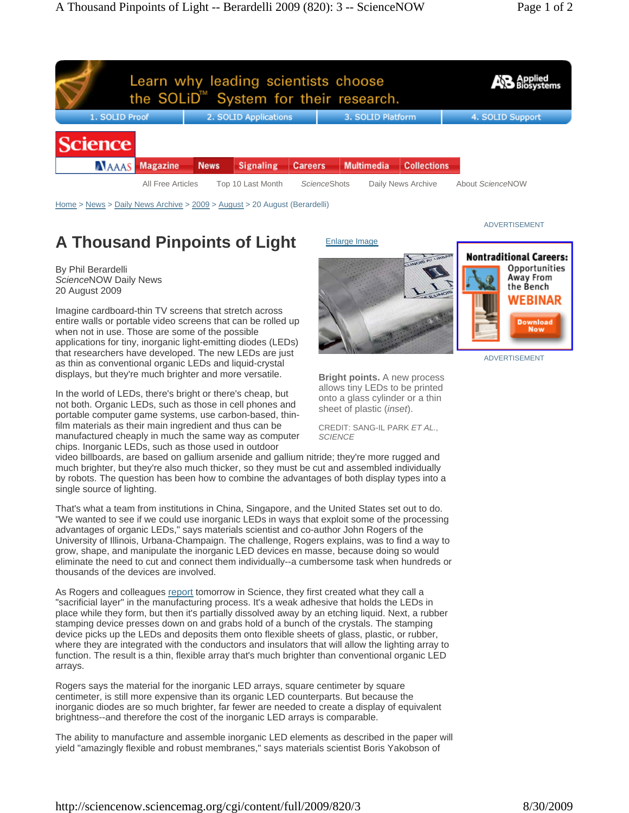

Home > News > Daily News Archive > 2009 > August > 20 August (Berardelli)

## **A Thousand Pinpoints of Light**

By Phil Berardelli *Science*NOW Daily News 20 August 2009

Imagine cardboard-thin TV screens that stretch across entire walls or portable video screens that can be rolled up when not in use. Those are some of the possible applications for tiny, inorganic light-emitting diodes (LEDs) that researchers have developed. The new LEDs are just as thin as conventional organic LEDs and liquid-crystal displays, but they're much brighter and more versatile.

In the world of LEDs, there's bright or there's cheap, but not both. Organic LEDs, such as those in cell phones and portable computer game systems, use carbon-based, thinfilm materials as their main ingredient and thus can be manufactured cheaply in much the same way as computer chips. Inorganic LEDs, such as those used in outdoor



**Bright points.** A new process allows tiny LEDs to be printed onto a glass cylinder or a thin sheet of plastic (*inset*).

CREDIT: SANG-IL PARK *ET AL.*, *SCIENCE*

video billboards, are based on gallium arsenide and gallium nitride; they're more rugged and much brighter, but they're also much thicker, so they must be cut and assembled individually by robots. The question has been how to combine the advantages of both display types into a single source of lighting.

That's what a team from institutions in China, Singapore, and the United States set out to do. "We wanted to see if we could use inorganic LEDs in ways that exploit some of the processing advantages of organic LEDs," says materials scientist and co-author John Rogers of the University of Illinois, Urbana-Champaign. The challenge, Rogers explains, was to find a way to grow, shape, and manipulate the inorganic LED devices en masse, because doing so would eliminate the need to cut and connect them individually--a cumbersome task when hundreds or thousands of the devices are involved.

As Rogers and colleagues report tomorrow in Science, they first created what they call a "sacrificial layer" in the manufacturing process. It's a weak adhesive that holds the LEDs in place while they form, but then it's partially dissolved away by an etching liquid. Next, a rubber stamping device presses down on and grabs hold of a bunch of the crystals. The stamping device picks up the LEDs and deposits them onto flexible sheets of glass, plastic, or rubber, where they are integrated with the conductors and insulators that will allow the lighting array to function. The result is a thin, flexible array that's much brighter than conventional organic LED arrays.

Rogers says the material for the inorganic LED arrays, square centimeter by square centimeter, is still more expensive than its organic LED counterparts. But because the inorganic diodes are so much brighter, far fewer are needed to create a display of equivalent brightness--and therefore the cost of the inorganic LED arrays is comparable.

The ability to manufacture and assemble inorganic LED elements as described in the paper will yield "amazingly flexible and robust membranes," says materials scientist Boris Yakobson of

ADVERTISEMENT



ADVERTISEMENT